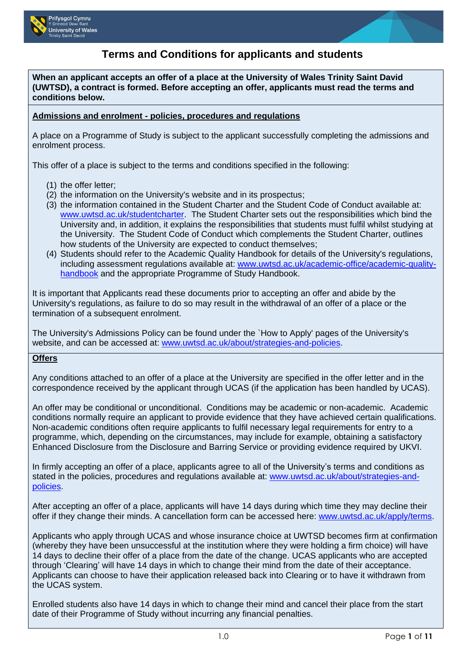



# **Terms and Conditions for applicants and students**

**When an applicant accepts an offer of a place at the University of Wales Trinity Saint David (UWTSD), a contract is formed. Before accepting an offer, applicants must read the terms and conditions below.** 

#### **Admissions and enrolment - policies, procedures and regulations**

A place on a Programme of Study is subject to the applicant successfully completing the admissions and enrolment process.

This offer of a place is subject to the terms and conditions specified in the following:

- (1) the offer letter;
- (2) the information on the University's website and in its prospectus;
- (3) the information contained in the Student Charter and the Student Code of Conduct available at: [www.uwtsd.ac.uk/studentcharter.](http://www.uwtsd.ac.uk/studentcharter) The Student Charter sets out the responsibilities which bind the University and, in addition, it explains the responsibilities that students must fulfil whilst studying at the University. The Student Code of Conduct which complements the Student Charter, outlines how students of the University are expected to conduct themselves;
- (4) Students should refer to the Academic Quality Handbook for details of the University's regulations, including assessment regulations available at: [www.uwtsd.ac.uk/academic-office/academic-quality](http://www.uwtsd.ac.uk/academic-office/academic-quality-handbook)[handbook](http://www.uwtsd.ac.uk/academic-office/academic-quality-handbook) and the appropriate Programme of Study Handbook.

It is important that Applicants read these documents prior to accepting an offer and abide by the University's regulations, as failure to do so may result in the withdrawal of an offer of a place or the termination of a subsequent enrolment.

The University's Admissions Policy can be found under the `How to Apply' pages of the University's website, and can be accessed at: [www.uwtsd.ac.uk/about/strategies-and-policies.](http://www.uwtsd.ac.uk/about/strategies-and-policies)

#### **Offers**

Any conditions attached to an offer of a place at the University are specified in the offer letter and in the correspondence received by the applicant through UCAS (if the application has been handled by UCAS).

An offer may be conditional or unconditional. Conditions may be academic or non-academic. Academic conditions normally require an applicant to provide evidence that they have achieved certain qualifications. Non-academic conditions often require applicants to fulfil necessary legal requirements for entry to a programme, which, depending on the circumstances, may include for example, obtaining a satisfactory Enhanced Disclosure from the Disclosure and Barring Service or providing evidence required by UKVI.

In firmly accepting an offer of a place, applicants agree to all of the University's terms and conditions as stated in the policies, procedures and regulations available at: [www.uwtsd.ac.uk/about/strategies-and](http://www.uwtsd.ac.uk/about/strategies-and-policies/)[policies.](http://www.uwtsd.ac.uk/about/strategies-and-policies/)

After accepting an offer of a place, applicants will have 14 days during which time they may decline their offer if they change their minds. A cancellation form can be accessed here: [www.uwtsd.ac.uk/apply/terms.](http://www.uwtsd.ac.uk/apply/terms)

Applicants who apply through UCAS and whose insurance choice at UWTSD becomes firm at confirmation (whereby they have been unsuccessful at the institution where they were holding a firm choice) will have 14 days to decline their offer of a place from the date of the change. UCAS applicants who are accepted through 'Clearing' will have 14 days in which to change their mind from the date of their acceptance. Applicants can choose to have their application released back into Clearing or to have it withdrawn from the UCAS system.

Enrolled students also have 14 days in which to change their mind and cancel their place from the start date of their Programme of Study without incurring any financial penalties.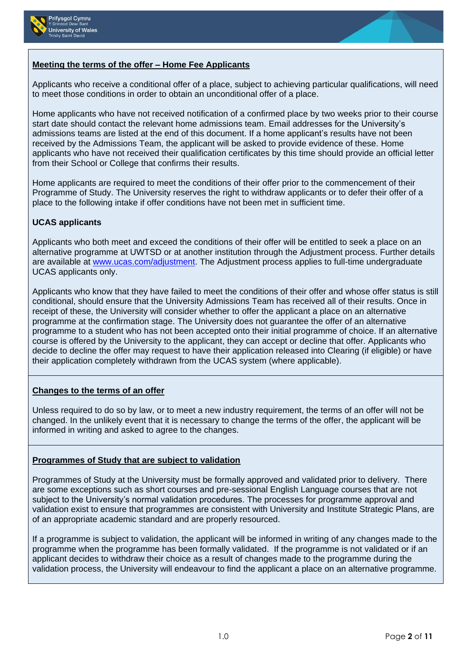



## **Meeting the terms of the offer – Home Fee Applicants**

Applicants who receive a conditional offer of a place, subject to achieving particular qualifications, will need to meet those conditions in order to obtain an unconditional offer of a place.

Home applicants who have not received notification of a confirmed place by two weeks prior to their course start date should contact the relevant home admissions team. Email addresses for the University's admissions teams are listed at the end of this document. If a home applicant's results have not been received by the Admissions Team, the applicant will be asked to provide evidence of these. Home applicants who have not received their qualification certificates by this time should provide an official letter from their School or College that confirms their results.

Home applicants are required to meet the conditions of their offer prior to the commencement of their Programme of Study. The University reserves the right to withdraw applicants or to defer their offer of a place to the following intake if offer conditions have not been met in sufficient time.

### **UCAS applicants**

Applicants who both meet and exceed the conditions of their offer will be entitled to seek a place on an alternative programme at UWTSD or at another institution through the Adjustment process. Further details are available at [www.ucas.com/adjustment.](http://www.ucas.com/adjustment) The Adjustment process applies to full-time undergraduate UCAS applicants only.

Applicants who know that they have failed to meet the conditions of their offer and whose offer status is still conditional, should ensure that the University Admissions Team has received all of their results. Once in receipt of these, the University will consider whether to offer the applicant a place on an alternative programme at the confirmation stage. The University does not guarantee the offer of an alternative programme to a student who has not been accepted onto their initial programme of choice. If an alternative course is offered by the University to the applicant, they can accept or decline that offer. Applicants who decide to decline the offer may request to have their application released into Clearing (if eligible) or have their application completely withdrawn from the UCAS system (where applicable).

### **Changes to the terms of an offer**

Unless required to do so by law, or to meet a new industry requirement, the terms of an offer will not be changed. In the unlikely event that it is necessary to change the terms of the offer, the applicant will be informed in writing and asked to agree to the changes.

### **Programmes of Study that are subject to validation**

Programmes of Study at the University must be formally approved and validated prior to delivery. There are some exceptions such as short courses and pre-sessional English Language courses that are not subject to the University's normal validation procedures. The processes for programme approval and validation exist to ensure that programmes are consistent with University and Institute Strategic Plans, are of an appropriate academic standard and are properly resourced.

If a programme is subject to validation, the applicant will be informed in writing of any changes made to the programme when the programme has been formally validated. If the programme is not validated or if an applicant decides to withdraw their choice as a result of changes made to the programme during the validation process, the University will endeavour to find the applicant a place on an alternative programme.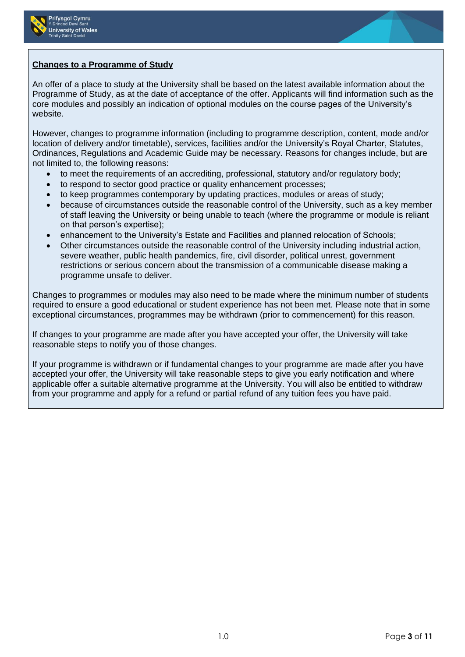



## **Changes to a Programme of Study**

An offer of a place to study at the University shall be based on the latest available information about the Programme of Study, as at the date of acceptance of the offer. Applicants will find information such as the core modules and possibly an indication of optional modules on the course pages of the University's website.

However, changes to programme information (including to programme description, content, mode and/or location of delivery and/or timetable), services, facilities and/or the University's Royal Charter, Statutes, Ordinances, Regulations and Academic Guide may be necessary. Reasons for changes include, but are not limited to, the following reasons:

- to meet the requirements of an accrediting, professional, statutory and/or regulatory body;
- to respond to sector good practice or quality enhancement processes;
- to keep programmes contemporary by updating practices, modules or areas of study;
- because of circumstances outside the reasonable control of the University, such as a key member of staff leaving the University or being unable to teach (where the programme or module is reliant on that person's expertise);
- enhancement to the University's Estate and Facilities and planned relocation of Schools;
- Other circumstances outside the reasonable control of the University including industrial action, severe weather, public health pandemics, fire, civil disorder, political unrest, government restrictions or serious concern about the transmission of a communicable disease making a programme unsafe to deliver.

Changes to programmes or modules may also need to be made where the minimum number of students required to ensure a good educational or student experience has not been met. Please note that in some exceptional circumstances, programmes may be withdrawn (prior to commencement) for this reason.

If changes to your programme are made after you have accepted your offer, the University will take reasonable steps to notify you of those changes.

If your programme is withdrawn or if fundamental changes to your programme are made after you have accepted your offer, the University will take reasonable steps to give you early notification and where applicable offer a suitable alternative programme at the University. You will also be entitled to withdraw from your programme and apply for a refund or partial refund of any tuition fees you have paid.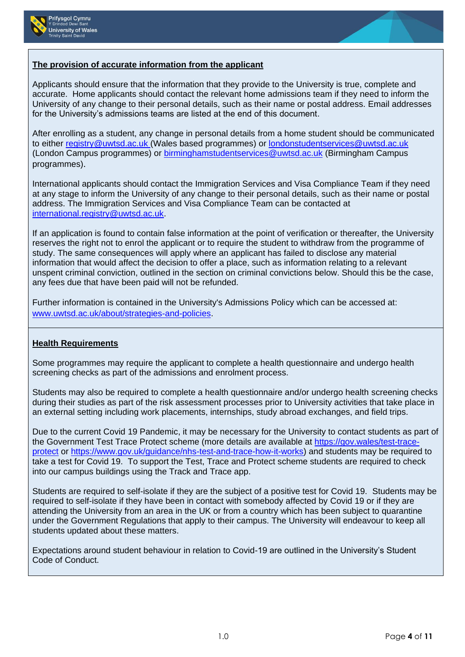



## **The provision of accurate information from the applicant**

Applicants should ensure that the information that they provide to the University is true, complete and accurate. Home applicants should contact the relevant home admissions team if they need to inform the University of any change to their personal details, such as their name or postal address. Email addresses for the University's admissions teams are listed at the end of this document.

After enrolling as a student, any change in personal details from a home student should be communicated to either [registry@uwtsd.ac.uk](mailto:registry@uwtsd.ac.uk) (Wales based programmes) or [londonstudentservices@uwtsd.ac.uk](mailto:londonstudentservices@uwtsd.ac.uk) (London Campus programmes) or [birminghamstudentservices@uwtsd.ac.uk](mailto:birminghamstudentservices@uwtsd.ac.uk) (Birmingham Campus programmes).

International applicants should contact the Immigration Services and Visa Compliance Team if they need at any stage to inform the University of any change to their personal details, such as their name or postal address. The Immigration Services and Visa Compliance Team can be contacted at [international.registry@uwtsd.ac.uk.](mailto:international.registry@uwtsd.ac.uk)

If an application is found to contain false information at the point of verification or thereafter, the University reserves the right not to enrol the applicant or to require the student to withdraw from the programme of study. The same consequences will apply where an applicant has failed to disclose any material information that would affect the decision to offer a place, such as information relating to a relevant unspent criminal conviction, outlined in the section on criminal convictions below. Should this be the case, any fees due that have been paid will not be refunded.

Further information is contained in the University's Admissions Policy which can be accessed at: [www.uwtsd.ac.uk/about/strategies-and-policies.](http://www.uwtsd.ac.uk/about/strategies-and-policies)

### **Health Requirements**

Some programmes may require the applicant to complete a health questionnaire and undergo health screening checks as part of the admissions and enrolment process.

Students may also be required to complete a health questionnaire and/or undergo health screening checks during their studies as part of the risk assessment processes prior to University activities that take place in an external setting including work placements, internships, study abroad exchanges, and field trips.

Due to the current Covid 19 Pandemic, it may be necessary for the University to contact students as part of the Government Test Trace Protect scheme (more details are available at [https://gov.wales/test-trace](https://eur01.safelinks.protection.outlook.com/?url=https%3A%2F%2Fgov.wales%2Ftest-trace-protect&data=02%7C01%7C%7Cc394c739599647e48c1f08d850c637c5%7C4e0f11f9046e45059cb8db2152311e21%7C0%7C0%7C637348159563891854&sdata=VR%2BeQm7G4pNrIb4BbdeR84m0uNOH0aVx32yiciVCdgM%3D&reserved=0)[protect](https://eur01.safelinks.protection.outlook.com/?url=https%3A%2F%2Fgov.wales%2Ftest-trace-protect&data=02%7C01%7C%7Cc394c739599647e48c1f08d850c637c5%7C4e0f11f9046e45059cb8db2152311e21%7C0%7C0%7C637348159563891854&sdata=VR%2BeQm7G4pNrIb4BbdeR84m0uNOH0aVx32yiciVCdgM%3D&reserved=0) or [https://www.gov.uk/guidance/nhs-test-and-trace-how-it-works\)](https://eur01.safelinks.protection.outlook.com/?url=https%3A%2F%2Fwww.gov.uk%2Fguidance%2Fnhs-test-and-trace-how-it-works&data=02%7C01%7C%7Cc394c739599647e48c1f08d850c637c5%7C4e0f11f9046e45059cb8db2152311e21%7C0%7C0%7C637348159563891854&sdata=S82igX6FYjqQBThrKFEK0wuqSL%2FYqCHD8qf2%2FshoY5o%3D&reserved=0) and students may be required to take a test for Covid 19. To support the Test, Trace and Protect scheme students are required to check into our campus buildings using the Track and Trace app.

Students are required to self-isolate if they are the subject of a positive test for Covid 19. Students may be required to self-isolate if they have been in contact with somebody affected by Covid 19 or if they are attending the University from an area in the UK or from a country which has been subject to quarantine under the Government Regulations that apply to their campus. The University will endeavour to keep all students updated about these matters.

Expectations around student behaviour in relation to Covid-19 are outlined in the University's Student Code of Conduct.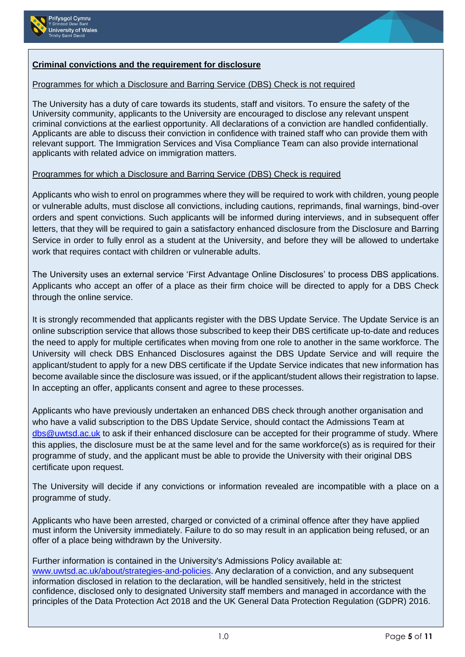



# **Criminal convictions and the requirement for disclosure**

## Programmes for which a Disclosure and Barring Service (DBS) Check is not required

The University has a duty of care towards its students, staff and visitors. To ensure the safety of the University community, applicants to the University are encouraged to disclose any relevant unspent criminal convictions at the earliest opportunity. All declarations of a conviction are handled confidentially. Applicants are able to discuss their conviction in confidence with trained staff who can provide them with relevant support. The Immigration Services and Visa Compliance Team can also provide international applicants with related advice on immigration matters.

## Programmes for which a Disclosure and Barring Service (DBS) Check is required

Applicants who wish to enrol on programmes where they will be required to work with children, young people or vulnerable adults, must disclose all convictions, including cautions, reprimands, final warnings, bind-over orders and spent convictions. Such applicants will be informed during interviews, and in subsequent offer letters, that they will be required to gain a satisfactory enhanced disclosure from the Disclosure and Barring Service in order to fully enrol as a student at the University, and before they will be allowed to undertake work that requires contact with children or vulnerable adults.

The University uses an external service 'First Advantage Online Disclosures' to process DBS applications. Applicants who accept an offer of a place as their firm choice will be directed to apply for a DBS Check through the online service.

It is strongly recommended that applicants register with the DBS Update Service. The Update Service is an online subscription service that allows those subscribed to keep their DBS certificate up-to-date and reduces the need to apply for multiple certificates when moving from one role to another in the same workforce. The University will check DBS Enhanced Disclosures against the DBS Update Service and will require the applicant/student to apply for a new DBS certificate if the Update Service indicates that new information has become available since the disclosure was issued, or if the applicant/student allows their registration to lapse. In accepting an offer, applicants consent and agree to these processes.

Applicants who have previously undertaken an enhanced DBS check through another organisation and who have a valid subscription to the DBS Update Service, should contact the Admissions Team at [dbs@uwtsd.ac.uk](mailto:dbs@uwtsd.ac.uk) to ask if their enhanced disclosure can be accepted for their programme of study. Where this applies, the disclosure must be at the same level and for the same workforce(s) as is required for their programme of study, and the applicant must be able to provide the University with their original DBS certificate upon request.

The University will decide if any convictions or information revealed are incompatible with a place on a programme of study.

Applicants who have been arrested, charged or convicted of a criminal offence after they have applied must inform the University immediately. Failure to do so may result in an application being refused, or an offer of a place being withdrawn by the University.

## Further information is contained in the University's Admissions Policy available at:

[www.uwtsd.ac.uk/about/strategies-and-policies](http://www.uwtsd.ac.uk/about/strategies-and-policies). Any declaration of a conviction, and any subsequent information disclosed in relation to the declaration, will be handled sensitively, held in the strictest confidence, disclosed only to designated University staff members and managed in accordance with the principles of the Data Protection Act 2018 and the UK General Data Protection Regulation (GDPR) 2016.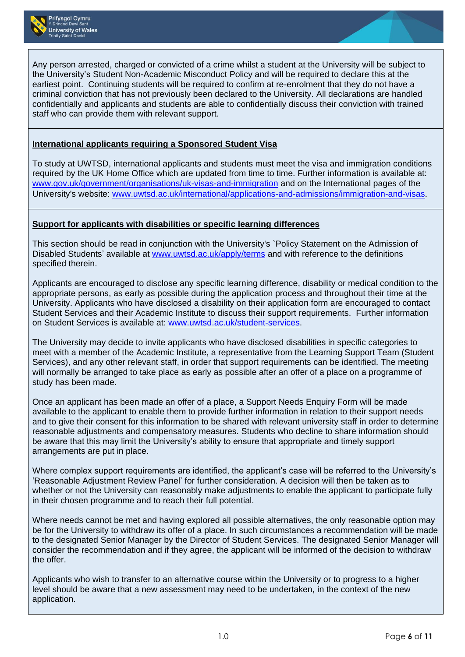

Any person arrested, charged or convicted of a crime whilst a student at the University will be subject to the University's Student Non-Academic Misconduct Policy and will be required to declare this at the earliest point. Continuing students will be required to confirm at re-enrolment that they do not have a criminal conviction that has not previously been declared to the University. All declarations are handled confidentially and applicants and students are able to confidentially discuss their conviction with trained staff who can provide them with relevant support.

## **International applicants requiring a Sponsored Student Visa**

To study at UWTSD, international applicants and students must meet the visa and immigration conditions required by the UK Home Office which are updated from time to time. Further information is available at: [www.gov.uk/government/organisations/uk-visas-and-immigration](http://www.gov.uk/government/organisations/uk-visas-and-immigration) and on the International pages of the University's website: [www.uwtsd.ac.uk/international/applications-and-admissions/immigration-and-visas](http://www.uwtsd.ac.uk/international/applications-and-admissions/immigration-and-visas).

### **Support for applicants with disabilities or specific learning differences**

This section should be read in conjunction with the University's `Policy Statement on the Admission of Disabled Students' available at [www.uwtsd.ac.uk/apply/terms](http://www.uwtsd.ac.uk/apply/terms) and with reference to the definitions specified therein.

Applicants are encouraged to disclose any specific learning difference, disability or medical condition to the appropriate persons, as early as possible during the application process and throughout their time at the University. Applicants who have disclosed a disability on their application form are encouraged to contact Student Services and their Academic Institute to discuss their support requirements. Further information on Student Services is available at: [www.uwtsd.ac.uk/student-services.](http://www.uwtsd.ac.uk/student-services)

The University may decide to invite applicants who have disclosed disabilities in specific categories to meet with a member of the Academic Institute, a representative from the Learning Support Team (Student Services), and any other relevant staff, in order that support requirements can be identified. The meeting will normally be arranged to take place as early as possible after an offer of a place on a programme of study has been made.

Once an applicant has been made an offer of a place, a Support Needs Enquiry Form will be made available to the applicant to enable them to provide further information in relation to their support needs and to give their consent for this information to be shared with relevant university staff in order to determine reasonable adjustments and compensatory measures. Students who decline to share information should be aware that this may limit the University's ability to ensure that appropriate and timely support arrangements are put in place.

Where complex support requirements are identified, the applicant's case will be referred to the University's 'Reasonable Adjustment Review Panel' for further consideration. A decision will then be taken as to whether or not the University can reasonably make adjustments to enable the applicant to participate fully in their chosen programme and to reach their full potential.

Where needs cannot be met and having explored all possible alternatives, the only reasonable option may be for the University to withdraw its offer of a place. In such circumstances a recommendation will be made to the designated Senior Manager by the Director of Student Services. The designated Senior Manager will consider the recommendation and if they agree, the applicant will be informed of the decision to withdraw the offer.

Applicants who wish to transfer to an alternative course within the University or to progress to a higher level should be aware that a new assessment may need to be undertaken, in the context of the new application.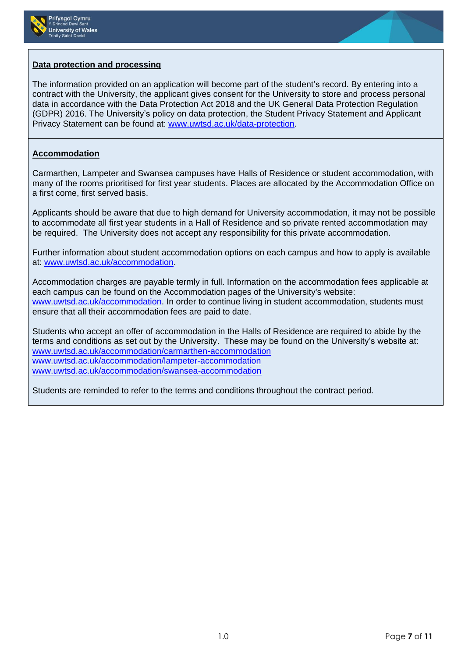



#### **Data protection and processing**

The information provided on an application will become part of the student's record. By entering into a contract with the University, the applicant gives consent for the University to store and process personal data in accordance with the Data Protection Act 2018 and the UK General Data Protection Regulation (GDPR) 2016. The University's policy on data protection, the Student Privacy Statement and Applicant Privacy Statement can be found at: [www.uwtsd.ac.uk/data-protection.](http://www.uwtsd.ac.uk/data-protection)

#### **Accommodation**

Carmarthen, Lampeter and Swansea campuses have Halls of Residence or student accommodation, with many of the rooms prioritised for first year students. Places are allocated by the Accommodation Office on a first come, first served basis.

Applicants should be aware that due to high demand for University accommodation, it may not be possible to accommodate all first year students in a Hall of Residence and so private rented accommodation may be required. The University does not accept any responsibility for this private accommodation.

Further information about student accommodation options on each campus and how to apply is available at: [www.uwtsd.ac.uk/accommodation.](http://www.uwtsd.ac.uk/accommodation)

Accommodation charges are payable termly in full. Information on the accommodation fees applicable at each campus can be found on the Accommodation pages of the University's website: [www.uwtsd.ac.uk/accommodation.](http://www.uwtsd.ac.uk/accommodation) In order to continue living in student accommodation, students must ensure that all their accommodation fees are paid to date.

Students who accept an offer of accommodation in the Halls of Residence are required to abide by the terms and conditions as set out by the University. These may be found on the University's website at: [www.uwtsd.ac.uk/accommodation/carmarthen-accommodation](http://www.uwtsd.ac.uk/accommodation/carmarthen-accommodation) [www.uwtsd.ac.uk/accommodation/lampeter-accommodation](http://www.uwtsd.ac.uk/accommodation/lampeter-accommodation) [www.uwtsd.ac.uk/accommodation/swansea-accommodation](http://www.uwtsd.ac.uk/accommodation/swansea-accommodation)

Students are reminded to refer to the terms and conditions throughout the contract period.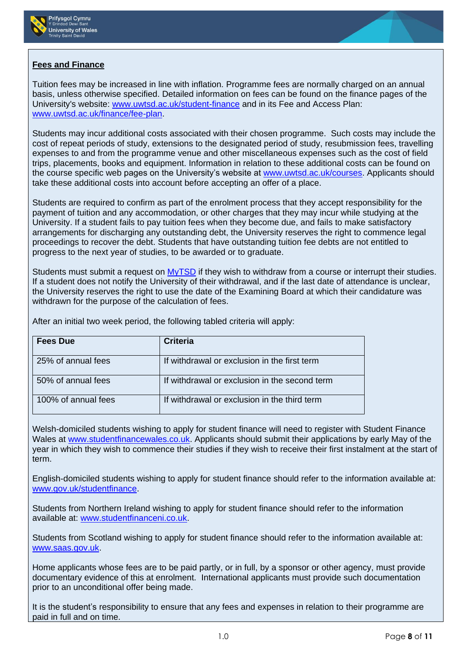



## **Fees and Finance**

Tuition fees may be increased in line with inflation. Programme fees are normally charged on an annual basis, unless otherwise specified. Detailed information on fees can be found on the finance pages of the University's website: [www.uwtsd.ac.uk/student-finance](http://www.uwtsd.ac.uk/student-finance) and in its Fee and Access Plan: [www.uwtsd.ac.uk/finance/fee-plan.](http://www.uwtsd.ac.uk/finance/fee-plan)

Students may incur additional costs associated with their chosen programme. Such costs may include the cost of repeat periods of study, extensions to the designated period of study, resubmission fees, travelling expenses to and from the programme venue and other miscellaneous expenses such as the cost of field trips, placements, books and equipment. Information in relation to these additional costs can be found on the course specific web pages on the University's website at [www.uwtsd.ac.uk/courses.](http://www.uwtsd.ac.uk/courses) Applicants should take these additional costs into account before accepting an offer of a place.

Students are required to confirm as part of the enrolment process that they accept responsibility for the payment of tuition and any accommodation, or other charges that they may incur while studying at the University. If a student fails to pay tuition fees when they become due, and fails to make satisfactory arrangements for discharging any outstanding debt, the University reserves the right to commence legal proceedings to recover the debt. Students that have outstanding tuition fee debts are not entitled to progress to the next year of studies, to be awarded or to graduate.

Students must submit a request on [MyTSD](https://mytsd.uwtsd.ac.uk/) if they wish to withdraw from a course or interrupt their studies. If a student does not notify the University of their withdrawal, and if the last date of attendance is unclear, the University reserves the right to use the date of the Examining Board at which their candidature was withdrawn for the purpose of the calculation of fees.

After an initial two week period, the following tabled criteria will apply:

| <b>Fees Due</b>     | <b>Criteria</b>                               |
|---------------------|-----------------------------------------------|
| 25% of annual fees  | If withdrawal or exclusion in the first term  |
| 50% of annual fees  | If withdrawal or exclusion in the second term |
| 100% of annual fees | If withdrawal or exclusion in the third term  |

Welsh-domiciled students wishing to apply for student finance will need to register with Student Finance Wales at [www.studentfinancewales.co.uk.](http://www.studentfinancewales.co.uk/) Applicants should submit their applications by early May of the year in which they wish to commence their studies if they wish to receive their first instalment at the start of term.

English-domiciled students wishing to apply for student finance should refer to the information available at: [www.gov.uk/studentfinance.](http://www.gov.uk/studentfinance)

Students from Northern Ireland wishing to apply for student finance should refer to the information available at: [www.studentfinanceni.co.uk.](http://www.studentfinanceni.co.uk/)

Students from Scotland wishing to apply for student finance should refer to the information available at: [www.saas.gov.uk.](http://www.saas.gov.uk/)

Home applicants whose fees are to be paid partly, or in full, by a sponsor or other agency, must provide documentary evidence of this at enrolment. International applicants must provide such documentation prior to an unconditional offer being made.

It is the student's responsibility to ensure that any fees and expenses in relation to their programme are paid in full and on time.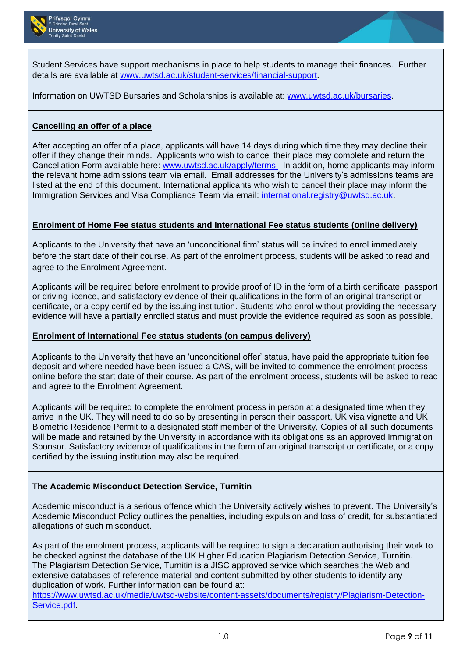

Student Services have support mechanisms in place to help students to manage their finances. Further details are available at [www.uwtsd.ac.uk/student-services/financial-support](http://www.uwtsd.ac.uk/student-services/financial-support).

Information on UWTSD Bursaries and Scholarships is available at: [www.uwtsd.ac.uk/bursaries](http://www.uwtsd.ac.uk/bursaries).

## **Cancelling an offer of a place**

After accepting an offer of a place, applicants will have 14 days during which time they may decline their offer if they change their minds. Applicants who wish to cancel their place may complete and return the Cancellation Form available here: [www.uwtsd.ac.uk/apply/terms.](http://www.uwtsd.ac.uk/apply/terms) In addition, home applicants may inform the relevant home admissions team via email. Email addresses for the University's admissions teams are listed at the end of this document. International applicants who wish to cancel their place may inform the Immigration Services and Visa Compliance Team via email: [international.registry@uwtsd.ac.uk.](mailto:international.registry@uwtsd.ac.uk)

### **Enrolment of Home Fee status students and International Fee status students (online delivery)**

Applicants to the University that have an 'unconditional firm' status will be invited to enrol immediately before the start date of their course. As part of the enrolment process, students will be asked to read and agree to the Enrolment Agreement.

Applicants will be required before enrolment to provide proof of ID in the form of a birth certificate, passport or driving licence, and satisfactory evidence of their qualifications in the form of an original transcript or certificate, or a copy certified by the issuing institution. Students who enrol without providing the necessary evidence will have a partially enrolled status and must provide the evidence required as soon as possible.

### **Enrolment of International Fee status students (on campus delivery)**

Applicants to the University that have an 'unconditional offer' status, have paid the appropriate tuition fee deposit and where needed have been issued a CAS, will be invited to commence the enrolment process online before the start date of their course. As part of the enrolment process, students will be asked to read and agree to the Enrolment Agreement.

Applicants will be required to complete the enrolment process in person at a designated time when they arrive in the UK. They will need to do so by presenting in person their passport, UK visa vignette and UK Biometric Residence Permit to a designated staff member of the University. Copies of all such documents will be made and retained by the University in accordance with its obligations as an approved Immigration Sponsor. Satisfactory evidence of qualifications in the form of an original transcript or certificate, or a copy certified by the issuing institution may also be required.

### **The Academic Misconduct Detection Service, Turnitin**

Academic misconduct is a serious offence which the University actively wishes to prevent. The University's Academic Misconduct Policy outlines the penalties, including expulsion and loss of credit, for substantiated allegations of such misconduct.

As part of the enrolment process, applicants will be required to sign a declaration authorising their work to be checked against the database of the UK Higher Education Plagiarism Detection Service, Turnitin. The Plagiarism Detection Service, Turnitin is a JISC approved service which searches the Web and extensive databases of reference material and content submitted by other students to identify any duplication of work. Further information can be found at:

[https://www.uwtsd.ac.uk/media/uwtsd-website/content-assets/documents/registry/Plagiarism-Detection-](https://www.uwtsd.ac.uk/media/uwtsd-website/content-assets/documents/registry/Plagiarism-Detection-Service.pdf)[Service.pdf.](https://www.uwtsd.ac.uk/media/uwtsd-website/content-assets/documents/registry/Plagiarism-Detection-Service.pdf)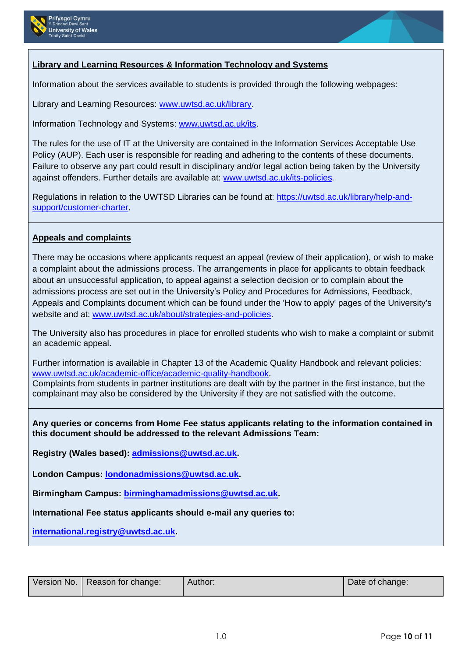



## **Library and Learning Resources & Information Technology and Systems**

Information about the services available to students is provided through the following webpages:

Library and Learning Resources: [www.uwtsd.ac.uk/library.](http://www.uwtsd.ac.uk/library)

Information Technology and Systems: [www.uwtsd.ac.uk/its.](http://www.uwtsd.ac.uk/its)

The rules for the use of IT at the University are contained in the Information Services Acceptable Use Policy (AUP). Each user is responsible for reading and adhering to the contents of these documents. Failure to observe any part could result in disciplinary and/or legal action being taken by the University against offenders. Further details are available at: [www.uwtsd.ac.uk/its-policies](http://www.uwtsd.ac.uk/its-policies).

Regulations in relation to the UWTSD Libraries can be found at: [https://uwtsd.ac.uk/library/help-and](https://uwtsd.ac.uk/library/help-and-support/customer-charter)[support/customer-charter](https://uwtsd.ac.uk/library/help-and-support/customer-charter).

## **Appeals and complaints**

There may be occasions where applicants request an appeal (review of their application), or wish to make a complaint about the admissions process. The arrangements in place for applicants to obtain feedback about an unsuccessful application, to appeal against a selection decision or to complain about the admissions process are set out in the University's Policy and Procedures for Admissions, Feedback, Appeals and Complaints document which can be found under the 'How to apply' pages of the University's website and at: [www.uwtsd.ac.uk/about/strategies-and-policies.](http://www.uwtsd.ac.uk/about/strategies-and-policies)

The University also has procedures in place for enrolled students who wish to make a complaint or submit an academic appeal.

Further information is available in Chapter 13 of the Academic Quality Handbook and relevant policies: [www.uwtsd.ac.uk/academic-office/academic-quality-handbook](http://www.uwtsd.ac.uk/academic-office/academic-quality-handbook). Complaints from students in partner institutions are dealt with by the partner in the first instance, but the complainant may also be considered by the University if they are not satisfied with the outcome.

**Any queries or concerns from Home Fee status applicants relating to the information contained in this document should be addressed to the relevant Admissions Team:**

**Registry (Wales based): [admissions@uwtsd.ac.uk.](mailto:admissions@uwtsd.ac.uk)**

**London Campus: [londonadmissions@uwtsd.ac.uk.](mailto:londonadmissions@uwtsd.ac.uk)**

**Birmingham Campus: [birminghamadmissions@uwtsd.ac.uk.](mailto:birminghamadmissions@uwtsd.ac.uk)**

**International Fee status applicants should e-mail any queries to:**

**[international.registry@uwtsd.ac.uk.](mailto:international.registry@uwtsd.ac.uk)**

| Version No.   Reason for change: | Author: | Date of change: |
|----------------------------------|---------|-----------------|
|                                  |         |                 |